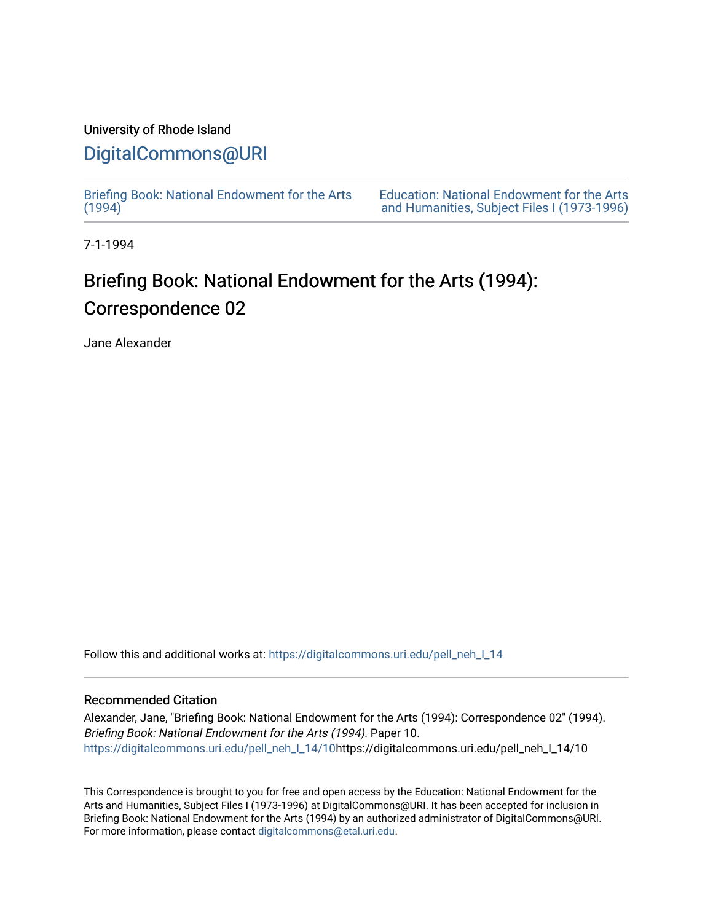### University of Rhode Island

## [DigitalCommons@URI](https://digitalcommons.uri.edu/)

[Briefing Book: National Endowment for the Arts](https://digitalcommons.uri.edu/pell_neh_I_14)  $(1994)$ 

[Education: National Endowment for the Arts](https://digitalcommons.uri.edu/pell_neh_I)  [and Humanities, Subject Files I \(1973-1996\)](https://digitalcommons.uri.edu/pell_neh_I) 

7-1-1994

# Briefing Book: National Endowment for the Arts (1994): Correspondence 02

Jane Alexander

Follow this and additional works at: [https://digitalcommons.uri.edu/pell\\_neh\\_I\\_14](https://digitalcommons.uri.edu/pell_neh_I_14?utm_source=digitalcommons.uri.edu%2Fpell_neh_I_14%2F10&utm_medium=PDF&utm_campaign=PDFCoverPages) 

#### Recommended Citation

Alexander, Jane, "Briefing Book: National Endowment for the Arts (1994): Correspondence 02" (1994). Briefing Book: National Endowment for the Arts (1994). Paper 10. [https://digitalcommons.uri.edu/pell\\_neh\\_I\\_14/10h](https://digitalcommons.uri.edu/pell_neh_I_14/10?utm_source=digitalcommons.uri.edu%2Fpell_neh_I_14%2F10&utm_medium=PDF&utm_campaign=PDFCoverPages)ttps://digitalcommons.uri.edu/pell\_neh\_I\_14/10

This Correspondence is brought to you for free and open access by the Education: National Endowment for the Arts and Humanities, Subject Files I (1973-1996) at DigitalCommons@URI. It has been accepted for inclusion in Briefing Book: National Endowment for the Arts (1994) by an authorized administrator of DigitalCommons@URI. For more information, please contact [digitalcommons@etal.uri.edu](mailto:digitalcommons@etal.uri.edu).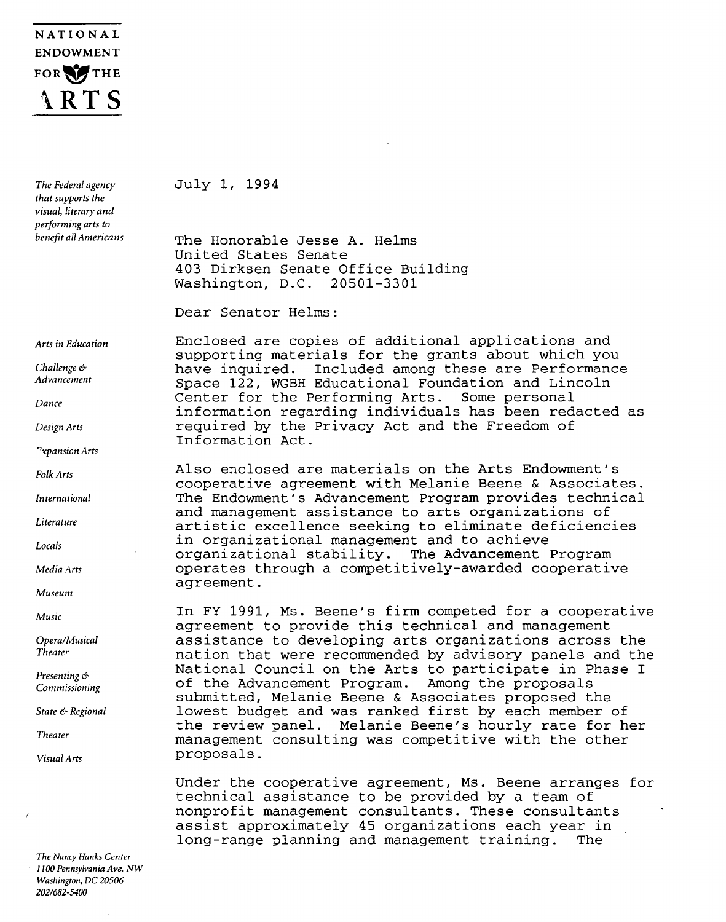## NATIONAL ENDOWMENT FOR THE \\RT S

*The Federal agency that supports the visual, literary and performing arts to benefit all Americans* 

*Arts in Education* 

*Challenge* & *Advancement* 

*Dance* 

*Design Arts* 

*"xpansion Arts* 

*Folk Arts* 

*International* 

*Literature* 

*Locals* 

*Media Arts* 

*Museum* 

*Music* 

*Opera/Musical Theater* 

*Presenting* & *Commissioning* 

*State* & *Regional* 

*Theater* 

*Visual Arts* 

*The Nancy Hanks Center 1100 Pennsylvania Ave. NW Washington, DC 20506 2021682-5400* 

July l, 1994

The Honorable Jesse A. Helms United States Senate 403 Dirksen Senate Office Building Washington, D.C. 20501-3301

Dear Senator Helms:

Enclosed are copies of additional applications and supporting materials for the grants about which you have inquired. Included among these are Performance Space 122, WGBH Educational Foundation and Lincoln<br>Center for the Performing Arts. Some personal Center for the Performing Arts. information regarding individuals has been redacted as required by the Privacy Act and the Freedom of Information Act.

Also enclosed are materials on the Arts Endowment's cooperative agreement with Melanie Beene & Associates. The Endowment's Advancement Program provides technical and management assistance to arts organizations of artistic excellence seeking to eliminate deficiencies in organizational management and to achieve organizational stability. The Advancement Program operates through a competitively-awarded cooperative agreement.

In FY 1991, Ms. Beene's firm competed for a cooperative agreement to provide this technical and management assistance to developing arts organizations across the nation that were recommended by advisory panels and the National Council on the Arts to participate in Phase I<br>of the Advancement Program. Among the proposals of the Advancement Program. submitted, Melanie Beene & Associates proposed the lowest budget and was ranked first by each member of the review panel. Melanie Beene's hourly rate for her management consulting was competitive with the other proposals.

Under the cooperative agreement, Ms. Beene arranges for technical assistance to be provided by a team of nonprofit management consultants. These consultants assist approximately 45 organizations each year in<br>long-range planning and management training. The long-range planning and management training.